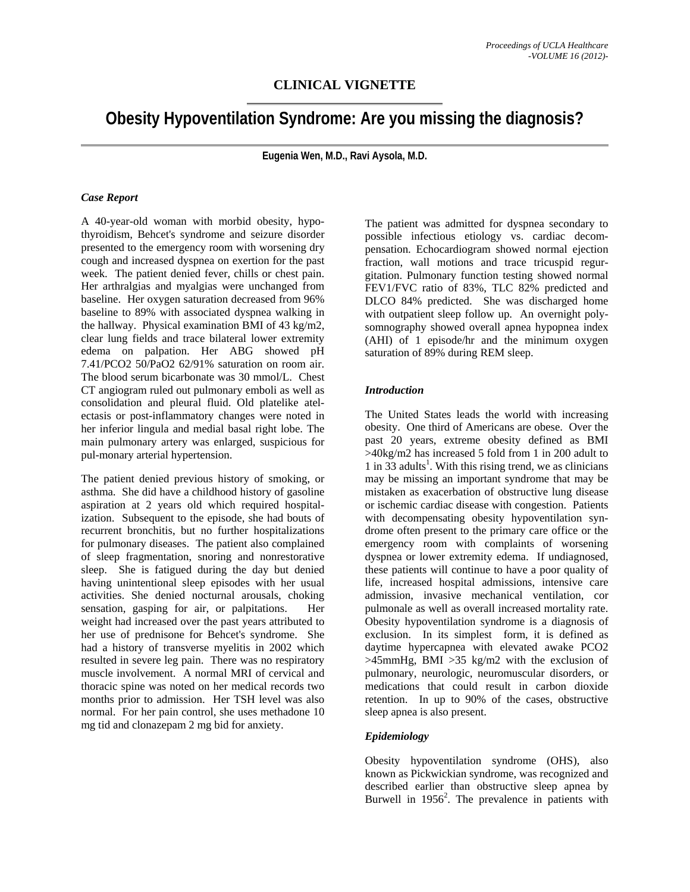## **CLINICAL VIGNETTE**

# **Obesity Hypoventilation Syndrome: Are you missing the diagnosis?**

**Eugenia Wen, M.D., Ravi Aysola, M.D.** 

#### *Case Report*

A 40-year-old woman with morbid obesity, hypothyroidism, Behcet's syndrome and seizure disorder presented to the emergency room with worsening dry cough and increased dyspnea on exertion for the past week. The patient denied fever, chills or chest pain. Her arthralgias and myalgias were unchanged from baseline. Her oxygen saturation decreased from 96% baseline to 89% with associated dyspnea walking in the hallway. Physical examination BMI of 43 kg/m2, clear lung fields and trace bilateral lower extremity edema on palpation. Her ABG showed pH 7.41/PCO2 50/PaO2 62/91% saturation on room air. The blood serum bicarbonate was 30 mmol/L. Chest CT angiogram ruled out pulmonary emboli as well as consolidation and pleural fluid. Old platelike atelectasis or post-inflammatory changes were noted in her inferior lingula and medial basal right lobe. The main pulmonary artery was enlarged, suspicious for pul-monary arterial hypertension.

The patient denied previous history of smoking, or asthma. She did have a childhood history of gasoline aspiration at 2 years old which required hospitalization. Subsequent to the episode, she had bouts of recurrent bronchitis, but no further hospitalizations for pulmonary diseases. The patient also complained of sleep fragmentation, snoring and nonrestorative sleep. She is fatigued during the day but denied having unintentional sleep episodes with her usual activities. She denied nocturnal arousals, choking sensation, gasping for air, or palpitations. Her weight had increased over the past years attributed to her use of prednisone for Behcet's syndrome. She had a history of transverse myelitis in 2002 which resulted in severe leg pain. There was no respiratory muscle involvement. A normal MRI of cervical and thoracic spine was noted on her medical records two months prior to admission. Her TSH level was also normal. For her pain control, she uses methadone 10 mg tid and clonazepam 2 mg bid for anxiety.

The patient was admitted for dyspnea secondary to possible infectious etiology vs. cardiac decompensation. Echocardiogram showed normal ejection fraction, wall motions and trace tricuspid regurgitation. Pulmonary function testing showed normal FEV1/FVC ratio of 83%, TLC 82% predicted and DLCO 84% predicted. She was discharged home with outpatient sleep follow up. An overnight polysomnography showed overall apnea hypopnea index (AHI) of 1 episode/hr and the minimum oxygen saturation of 89% during REM sleep.

#### *Introduction*

The United States leads the world with increasing obesity. One third of Americans are obese. Over the past 20 years, extreme obesity defined as BMI >40kg/m2 has increased 5 fold from 1 in 200 adult to  $1$  in  $33$  adults<sup>1</sup>. With this rising trend, we as clinicians may be missing an important syndrome that may be mistaken as exacerbation of obstructive lung disease or ischemic cardiac disease with congestion. Patients with decompensating obesity hypoventilation syndrome often present to the primary care office or the emergency room with complaints of worsening dyspnea or lower extremity edema. If undiagnosed, these patients will continue to have a poor quality of life, increased hospital admissions, intensive care admission, invasive mechanical ventilation, cor pulmonale as well as overall increased mortality rate. Obesity hypoventilation syndrome is a diagnosis of exclusion. In its simplest form, it is defined as daytime hypercapnea with elevated awake PCO2  $>45$ mmHg, BMI  $>35$  kg/m2 with the exclusion of pulmonary, neurologic, neuromuscular disorders, or medications that could result in carbon dioxide retention. In up to 90% of the cases, obstructive sleep apnea is also present.

#### *Epidemiology*

Obesity hypoventilation syndrome (OHS), also known as Pickwickian syndrome, was recognized and described earlier than obstructive sleep apnea by Burwell in  $1956^2$ . The prevalence in patients with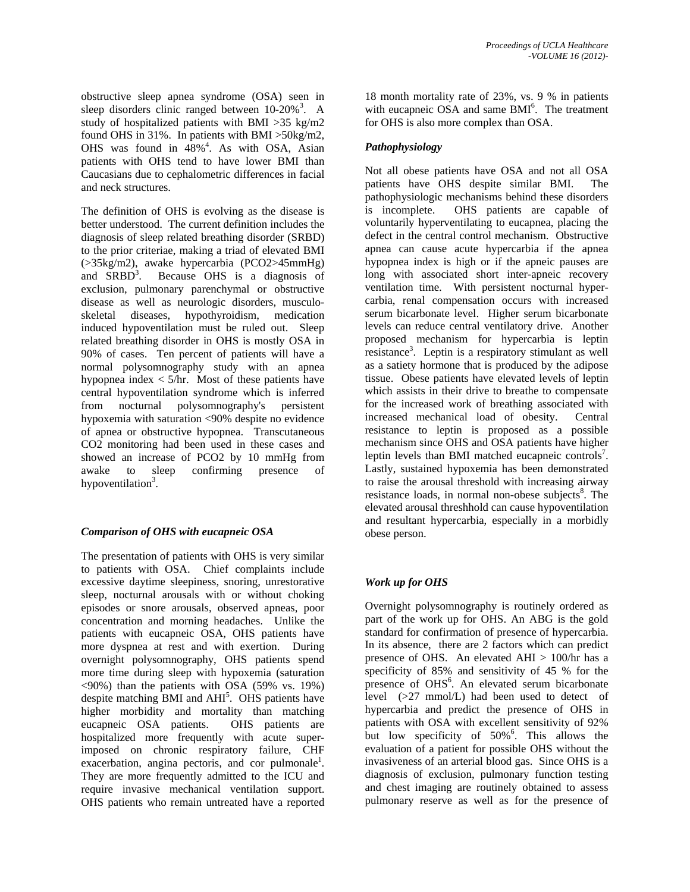obstructive sleep apnea syndrome (OSA) seen in sleep disorders clinic ranged between  $10-20\%$ <sup>3</sup>. A study of hospitalized patients with BMI >35 kg/m2 found OHS in 31%. In patients with BMI >50kg/m2, OHS was found in  $48\%$ <sup>4</sup>. As with OSA, Asian patients with OHS tend to have lower BMI than Caucasians due to cephalometric differences in facial and neck structures.

The definition of OHS is evolving as the disease is better understood. The current definition includes the diagnosis of sleep related breathing disorder (SRBD) to the prior criteriae, making a triad of elevated BMI (>35kg/m2), awake hypercarbia (PCO2>45mmHg) and  $SRBD^3$ . . Because OHS is a diagnosis of exclusion, pulmonary parenchymal or obstructive disease as well as neurologic disorders, musculoskeletal diseases, hypothyroidism, medication induced hypoventilation must be ruled out. Sleep related breathing disorder in OHS is mostly OSA in 90% of cases. Ten percent of patients will have a normal polysomnography study with an apnea hypopnea index  $\lt$  5/hr. Most of these patients have central hypoventilation syndrome which is inferred from nocturnal polysomnography's persistent hypoxemia with saturation <90% despite no evidence of apnea or obstructive hypopnea. Transcutaneous CO2 monitoring had been used in these cases and showed an increase of PCO2 by 10 mmHg from awake to sleep confirming presence of hypoventilation<sup>3</sup>.

## *Comparison of OHS with eucapneic OSA*

The presentation of patients with OHS is very similar to patients with OSA. Chief complaints include excessive daytime sleepiness, snoring, unrestorative sleep, nocturnal arousals with or without choking episodes or snore arousals, observed apneas, poor concentration and morning headaches. Unlike the patients with eucapneic OSA, OHS patients have more dyspnea at rest and with exertion. During overnight polysomnography, OHS patients spend more time during sleep with hypoxemia (saturation <90%) than the patients with OSA (59% vs. 19%) despite matching  $\overline{BMI}$  and  $\overline{AHI}^5$ . OHS patients have higher morbidity and mortality than matching eucapneic OSA patients. OHS patients are hospitalized more frequently with acute superimposed on chronic respiratory failure, CHF exacerbation, angina pectoris, and cor pulmonale<sup>1</sup>. They are more frequently admitted to the ICU and require invasive mechanical ventilation support. OHS patients who remain untreated have a reported

18 month mortality rate of 23%, vs. 9 % in patients with eucapneic OSA and same BMI<sup>6</sup>. The treatment for OHS is also more complex than OSA.

## *Pathophysiology*

Not all obese patients have OSA and not all OSA patients have OHS despite similar BMI. The pathophysiologic mechanisms behind these disorders is incomplete. OHS patients are capable of voluntarily hyperventilating to eucapnea, placing the defect in the central control mechanism. Obstructive apnea can cause acute hypercarbia if the apnea hypopnea index is high or if the apneic pauses are long with associated short inter-apneic recovery ventilation time. With persistent nocturnal hypercarbia, renal compensation occurs with increased serum bicarbonate level. Higher serum bicarbonate levels can reduce central ventilatory drive. Another proposed mechanism for hypercarbia is leptin resistance<sup>3</sup>. Leptin is a respiratory stimulant as well as a satiety hormone that is produced by the adipose tissue. Obese patients have elevated levels of leptin which assists in their drive to breathe to compensate for the increased work of breathing associated with increased mechanical load of obesity. Central resistance to leptin is proposed as a possible mechanism since OHS and OSA patients have higher leptin levels than BMI matched eucapneic controls<sup>7</sup>. Lastly, sustained hypoxemia has been demonstrated to raise the arousal threshold with increasing airway resistance loads, in normal non-obese subjects<sup>8</sup>. The elevated arousal threshhold can cause hypoventilation and resultant hypercarbia, especially in a morbidly obese person.

## *Work up for OHS*

Overnight polysomnography is routinely ordered as part of the work up for OHS. An ABG is the gold standard for confirmation of presence of hypercarbia. In its absence, there are 2 factors which can predict presence of OHS. An elevated AHI > 100/hr has a specificity of 85% and sensitivity of 45 % for the presence of OHS<sup>6</sup>. An elevated serum bicarbonate level (>27 mmol/L) had been used to detect of hypercarbia and predict the presence of OHS in patients with OSA with excellent sensitivity of 92% but low specificity of 50%<sup>6</sup>. This allows the evaluation of a patient for possible OHS without the invasiveness of an arterial blood gas. Since OHS is a diagnosis of exclusion, pulmonary function testing and chest imaging are routinely obtained to assess pulmonary reserve as well as for the presence of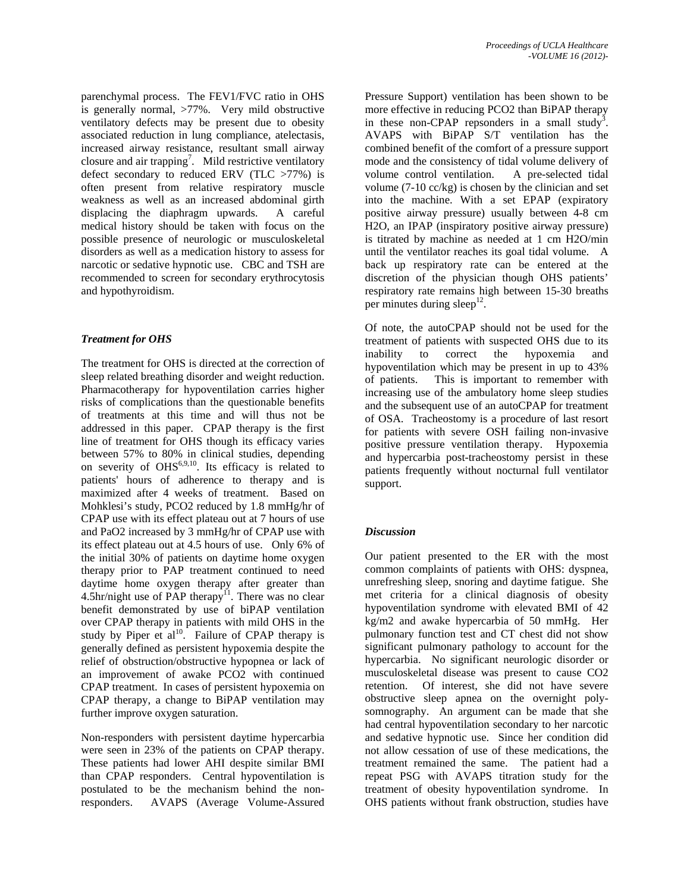parenchymal process. The FEV1/FVC ratio in OHS is generally normal, >77%. Very mild obstructive ventilatory defects may be present due to obesity associated reduction in lung compliance, atelectasis, increased airway resistance, resultant small airway closure and air trapping<sup>7</sup>. Mild restrictive ventilatory defect secondary to reduced ERV (TLC >77%) is often present from relative respiratory muscle weakness as well as an increased abdominal girth displacing the diaphragm upwards. A careful medical history should be taken with focus on the possible presence of neurologic or musculoskeletal disorders as well as a medication history to assess for narcotic or sedative hypnotic use. CBC and TSH are recommended to screen for secondary erythrocytosis and hypothyroidism.

## *Treatment for OHS*

The treatment for OHS is directed at the correction of sleep related breathing disorder and weight reduction. Pharmacotherapy for hypoventilation carries higher risks of complications than the questionable benefits of treatments at this time and will thus not be addressed in this paper. CPAP therapy is the first line of treatment for OHS though its efficacy varies between 57% to 80% in clinical studies, depending on severity of  $OHS^{6,9,10}$ . Its efficacy is related to patients' hours of adherence to therapy and is maximized after 4 weeks of treatment. Based on Mohklesi's study, PCO2 reduced by 1.8 mmHg/hr of CPAP use with its effect plateau out at 7 hours of use and PaO2 increased by 3 mmHg/hr of CPAP use with its effect plateau out at 4.5 hours of use. Only 6% of the initial 30% of patients on daytime home oxygen therapy prior to PAP treatment continued to need daytime home oxygen therapy after greater than  $4.5$ hr/night use of PAP therapy<sup>11</sup>. There was no clear benefit demonstrated by use of biPAP ventilation over CPAP therapy in patients with mild OHS in the study by Piper et  $al^{10}$ . Failure of CPAP therapy is generally defined as persistent hypoxemia despite the relief of obstruction/obstructive hypopnea or lack of an improvement of awake PCO2 with continued CPAP treatment. In cases of persistent hypoxemia on CPAP therapy, a change to BiPAP ventilation may further improve oxygen saturation.

Non-responders with persistent daytime hypercarbia were seen in 23% of the patients on CPAP therapy. These patients had lower AHI despite similar BMI than CPAP responders. Central hypoventilation is postulated to be the mechanism behind the nonresponders. AVAPS (Average Volume-Assured Pressure Support) ventilation has been shown to be more effective in reducing PCO2 than BiPAP therapy in these non-CPAP repsonders in a small study<sup>3</sup>. AVAPS with BiPAP S/T ventilation has the combined benefit of the comfort of a pressure support mode and the consistency of tidal volume delivery of volume control ventilation. A pre-selected tidal volume (7-10 cc/kg) is chosen by the clinician and set into the machine. With a set EPAP (expiratory positive airway pressure) usually between 4-8 cm H2O, an IPAP (inspiratory positive airway pressure) is titrated by machine as needed at 1 cm H2O/min until the ventilator reaches its goal tidal volume. A back up respiratory rate can be entered at the discretion of the physician though OHS patients' respiratory rate remains high between 15-30 breaths per minutes during sleep<sup>12</sup>.

Of note, the autoCPAP should not be used for the treatment of patients with suspected OHS due to its inability to correct the hypoxemia and hypoventilation which may be present in up to 43% of patients. This is important to remember with increasing use of the ambulatory home sleep studies and the subsequent use of an autoCPAP for treatment of OSA. Tracheostomy is a procedure of last resort for patients with severe OSH failing non-invasive positive pressure ventilation therapy. Hypoxemia and hypercarbia post-tracheostomy persist in these patients frequently without nocturnal full ventilator support.

## *Discussion*

Our patient presented to the ER with the most common complaints of patients with OHS: dyspnea, unrefreshing sleep, snoring and daytime fatigue. She met criteria for a clinical diagnosis of obesity hypoventilation syndrome with elevated BMI of 42 kg/m2 and awake hypercarbia of 50 mmHg. Her pulmonary function test and CT chest did not show significant pulmonary pathology to account for the hypercarbia. No significant neurologic disorder or musculoskeletal disease was present to cause CO2 retention. Of interest, she did not have severe obstructive sleep apnea on the overnight polysomnography. An argument can be made that she had central hypoventilation secondary to her narcotic and sedative hypnotic use. Since her condition did not allow cessation of use of these medications, the treatment remained the same. The patient had a repeat PSG with AVAPS titration study for the treatment of obesity hypoventilation syndrome. In OHS patients without frank obstruction, studies have